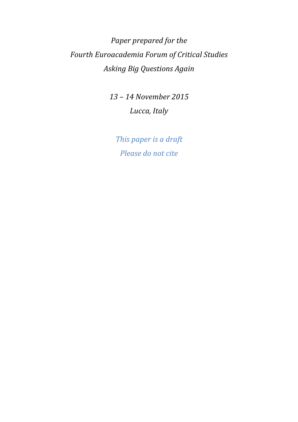*Paper prepared for the Fourth Euroacademia Forum of Critical Studies Asking Big Questions Again* 

> *13 – 14 November 2015 Lucca, Italy*

*This paper is a draft Please do not cite*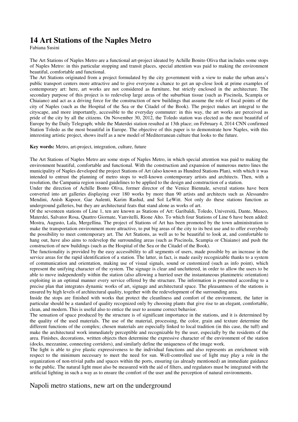# **14 Art Stations of the Naples Metro**

Fabiana Susini

The Art Stations of Naples Metro are a functional art-project ideated by Achille Bonito Oliva that includes some stops of Naples Metro: in this particular stopping and transit places, special attention was paid to making the environment beautiful, comfortable and functional.

The Art Stations originated from a project formulated by the city government with a view to make the urban area's public transport centers more attractive and to give everyone a chance to get an up-close look at prime examples of contemporary art: here, art works are not considered as furniture, but strictly enclosed in the architecture. The secondary purpose of this project is to redevelop large areas of the suburbian tissue (such as Piscinola, Scampia or Chiaiano) and act as a driving force for the construction of new buildings that assume the role of focal points of the city of Naples (such as the Hospital of the Sea or the Citadel of the Book). The project makes art integral to the cityscape, and more importantly, accessible to the everyday commuter: in this way, the art works are perceived as pride of the city by all the citizens. On November 30, 2012, the Toledo station was elected as the most beautiful of Europe by the Daily Telegraph; while the Materdei station resulted at 13th place; on February 4, 2014 CNN confirmed Station Toledo as the most beautiful in Europe. The objective of this paper is to demonstrate how Naples, with this interesting artistic project, shows itself as a new model of Mediterranean culture that looks to the future.

#### **Key words:** Metro, art-project, integration, culture, future

The Art Stations of Naples Metro are some stops of Naples Metro, in which special attention was paid to making the environment beautiful, comfortable and functional. With the construction and expansion of numerous metro lines the municipality of Naples developed the project Stations of Art (also known as Hundred Stations Plan), with which it was intended to entrust the planning of metro stops to well-known contemporary artists and architects. Then, with a resolution, the Campania region issued guidelines to be applied to the design and construction of a station.

Under the direction of Achille Bonto Oliva, former director of the Venice Biennale, several stations have been converted into art galleries displaying over 180 works by more than 90 artists and architects such as Alessandro Mendini, Anish Kapoor, Gae Aulenti, Karim Rashid, and Sol LeWitt. Not only do these stations function as underground galleries, but they are architectural feats that stand alone as works of art.

Of the seventeen stations of Line 1, ten are known as Stations of Art: Garibaldi, Toledo, Università, Dante, Museo, Materdei, Salvator Rosa, Quattro Giornate, Vanvitelli, Rione Alto. To which four Stations of Line 6 have been added: Mostra, Augusto, Lala, Mergellina. The project of Stations of Art has been promoted by the town administration to make the transportation environment more attractive, to put big areas of the city to its best use and to offer everybody the possibility to meet contemporary art. The Art Stations, as well as to be beautiful to look at, and comfortable to hang out, have also aims to redevelop the surrounding areas (such as Piscinola, Scampia or Chiaiano) and push the construction of new buildings (such as the Hospital of the Sea or the Citadel of the Book).

The functionality is provided by the easy accessibility to all segments of users, made possible by an increase in the service areas for the rapid identification of a station. The latter, in fact, is made easily recognizable thanks to a system of communication and orientation, making use of visual signals, sound or customized (such as info point), which represent the unifying character of the system. The signage is clear and uncluttered, in order to allow the users to be able to move independently within the station (also allowing a hurried user the instantaneous planimetric orientation) exploiting in an optimal manner every service offered by the structure. The information is presented according to a precise plan that integrates dynamic works of art, signage and architectural space. The pleasantness of the stations is ensured by high levels of architectural quality, together with the redevelopment of the surrounding area.

Inside the stops are finished with works that protect the cleanliness and comfort of the environment, the latter in particular should be a standard of quality recognized only by choosing plants that give rise to an elegant, comfortable, clean, and modern. This is useful also to entice the user to assume correct behavior.

The sensation of space produced by the structure is of significant importance in the stations, and it is determined by the quality of the used materials. The use of the material, processing, the color, grain and texture determine the different functions of the complex; chosen materials are especially linked to local tradition (in this case, the tuff) and make the architectural work immediately perceptible and recognizable by the user, especially by the residents of the area. Finishes, decorations, written objects then determine the expressive character of the environment of the station (docks, mezzanine, connecting corridors), and similarly define the uniqueness of the image work.

The light is able to give plastic expressiveness to the individual functions and also represents an enrichment with respect to the minimum necessary to meet the need for sun. Well-controlled use of light may play a role in the organization of non-trivial paths and spaces within the ports, ensuring (as already mentioned) an immediate guidance to the public. The natural light must also be measured with the aid of filters, and regulators must be integrated with the artificial lighting in such a way as to ensure the comfort of the user and the perception of natural environments.

### Napoli metro stations, new art on the underground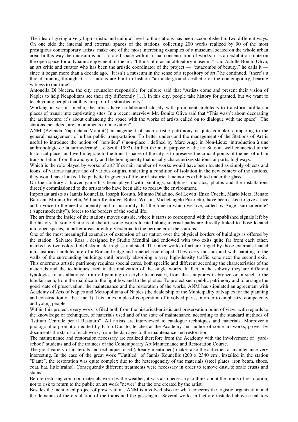The idea of giving a very high artistic and cultural level to the stations has been accomplished in two different ways. On one side the internal and external spaces of the stations, collecting 200 works realized by 90 of the most prestigious contemporary artists, make one of the most interesting examples of a museum located on the whole urban area. In this way the museum is not a closed space with its usual concentration of works; it is an exhibition route on the open space for a dynamic enjoyment of the art. "I think of it as an obligatory museum," said Achille Bonito Oliva, an art critic and curator who has been the artistic coordinator of the project — "catacombs of beauty," he calls it since it began more than a decade ago. "It isn't a museum in the sense of a repository of art," he continued, "there's a thread running through it" as stations are built to fashion "an underground aesthetic of the contemporary, bearing witness to our time".

Antonella Di Nocera, the city counselor responsible for culture said that "Artists come and present their vision of Naples to help Neapolitans see their city differently […]. In this city, people take history for granted, but we want to teach young people that they are part of a stratified city".

Working in various media, the artists have collaborated closely with prominent architects to transform utilitarian places of transit into captivating sites. In a recent interview Mr. Bonito Oliva said that "This wasn't about decorating the architecture, it's about enhancing the space with the works of artists called on to dialogue with the space". The stations, he added, are "monuments to innovation".

ANM (Azienda Napoletana Mobilità) management of such artistic patrimony is quite complex comparing to the general management of urban public transportation. To better understand the management of the Stations of Art is useful to introduce the notion of "non-lieu" ("non-place", defined by Marc Augè in Non-Lieux, introduction à une anthropologie de la surmodernité, Le Seuil, 1992). In fact the main purpose of the art Station, well connected to the historical places and well integrate to the transit spaces of the city is to preserve the crucial points of the net of urban transportation from the anonymity and the homogeneity that usually characterizes stations, airports, highways.

Which is the role played by works of art? If certain number of works would have been located as simply objects and icons, of various natures and of various origins, underling a condition of isolation in the new context of the stations, they would have looked like pathetic fragments of life or of historical memories exhibited under the glass.

On the contrary a braver game has been played with paintings, sculptures, mosaics, photos and the installations directly commissioned to the artists who have been able to redraw the environment.

Important artists as Jannis Kounellis, Joseph Kosuth, Mimmo Paladino, Sol Lewitt, Enzo Cucchi, Mario Merz, Renato Barisani, Mimmo Rotella, William Kentridge, Robert Wilson, Michelangelo Pistoletto, have been asked to give a face and a voice to the need of identity and of historicity that the time in which we live, called by Augè "surmodernité" ("supermodernity"), forces to the borders of the social life.

The art from the inside of the stations moves outside, where it starts to correspond with the unpublished signals left by the history. In some Stations of the art, some works located along internal paths are directly linked to those located into open spaces, in buffer areas or entirely external to the perimeter of the stations.

One of the most meaningful examples of extension of art station over the physical borders of buildings is offered by the station "Salvator Rosa", designed by Studio Mendini and endowed with two exits quite far from each other, marked by two colored obelisks made in glass and steel. The inner works of art are ringed by those externals leaded into historical architecture of a Roman bridge and a neoclassic chapel. They carry mosaics and wall painting to the walls of the surrounding buildings until bravely absorbing a very high-density traffic zone next the second exit.

This enormous artistic patrimony requires special cares, both specific and different according the characteristics of the materials and the techniques used in the realization of the single works. In fact in the subway they are different typologies of installations: from oil-painting or acrylic to mosaics, from the sculptures in bronze or in steel to the tubular neon, from the majolica to the light box and to the photos. To protect such public patrimony and to arrange the good state of preservation, the maintenance and the restoration of the works, ANM has stipulated an agreement with Academy of Arts of Naples and Metropolitana of Naples (the dealership of the Municipality of Naples for the planning and construction of the Line 1). It is an example of cooperation of involved parts, in order to emphasize competency and young people.

Within this project, every work is filed both from the historical-artistic and preservation point of view, with regards to the knowledge of techniques, of materials used and of the state of maintenance, according to the standard methods of "Istituto Centrale per il Restauro". All artists are interviewed to catalogue techniques and materials. Moreover a photographic promotion edited by Fabio Donato, teacher at the Academy and author of some art works, proves by documents the status of each work, from the damages to the maintenance and restoration.

The maintenance and restoration necessary are realized therefore from the Academy with the involvement of "yardschool" students and of the trainees of the Contemporary Art Maintenance and Restoration Course.

The great variety of materials and techniques used (already mentioned) makes also the activities of maintenance very interesting. In the case of the great work "Untitled" of Jannis Kounellis (200 x 2340 cm), installed in the station "Dante", the restoration was quite complex due to the heterogeneity of the materials (steel plates, iron beam, shoes, coat, hat, little trains). Consequently different treatments were necessary in order to remove dust, to scale crusts and stains.

Before restoring common materials worn by the weather, it was also necessary to think about the limits of restoration, not to risk to return to the public an art work "newer" that the one created by the artist.

Besides the mentioned project of preservation , ANM is involved also for what concerns the logistic organization and the demands of the circulation of the trains and the passengers. Several works in fact are installed above escalators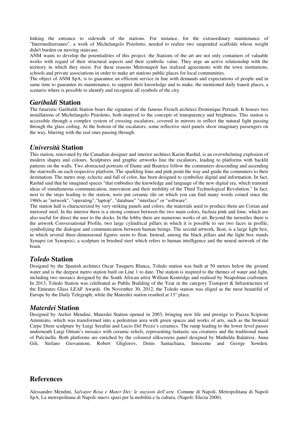linking the entrance to sidewalk of the stations. For instance, for the extraordinary maintenance of "Intermediterraneo", a work of Michelangelo Pistoletto, needed to realize two suspended scaffolds whose weight didn't burden on moving staircase.

ANM wants to develop the potentialities of this project: the Stations of the art are not only containers of valuable works with regard of their structural aspects and their symbolic value. They urge an active relationship with the territory in which they insist. For these reasons Metronapoli has realized agreements with the town institutions, schools and private associations in order to make art stations public places for local communities.

The object of ANM SpA, is to guarantee an efficient service in line with demands and expectations of people and in same time to guarantee its maintenance, to support their knowledge and to make, the mentioned daily transit places, a scenario where is possible to identify and recognize all symbols of the city.

#### *Garibaldi* **Station**

The futuristic Garibaldi Station bears the signature of the famous French architect Dominique Perrault. It houses two installations of Michelangelo Pistoletto, both inspired to the concepts of transparency and brightness. This station is accessible through a complex system of crossing escalators, covered in mirrors to reflect the natural light passing through the glass ceiling. At the bottom of the escalators, some reflective steel panels show imaginary passengers on the way, blurring with the real ones passing through.

### *Università* **Station**

This station, renovated by the Canadian designer and interior architect Karim Rashid, is an overwhelming explosion of modern shapes and colours. Sculptures and graphic artworks line the escalators, leading to platforms with backlit patterns on the walls. Two abstracted portraits of Dante and Beatrice follow the commuters descending and ascending the stairwells on each respective platform. The sparkling lime and pink point the way and guide the commuters to their destination. The metro stop, eclectic and full of color, has been designed to symbolize digital and information. In fact, Rashid said that he imagined spaces "that embodies the knowledge and language of the new digital era, which transmit ideas of simultaneous communication, innovation and their mobility of the Third Technological Revolution." In fact, next to the steps leading to the station, were put ceramic tile on which you can find many words coined since the 1960s as "network", "operating","laptop", "database" "interface" or "software".

The station hall is characterized by very striking panels and colors, the materials used to produce them are Corian and mirrored steel. In the interior there is a strong contrast between the two main colors, fuchsia pink and lime, which are also useful for direct the user to the docks. In the lobby there are numerous works of art. Beyond the turnstiles there is the artwork Conversational Profile, two large cylindrical pillars in which it is possible to see two faces in profile, symbolizing the dialogue and communication between human beings. The second artwork, Ikon, is a large light box, in which several three-dimensional figures seem to float. Instead, among the black pillars and the light box stands Synapsi (or Synopsis), a sculpture in brushed steel which refers to human intelligence and the neural network of the brain.

# *Toledo* **Station**

Designed by the Spanish architect Oscar Tusquets Blanca, Toledo station was built at 50 meters below the ground water and is the deepest metro station built on Line 1 to date. The station is inspired to the themes of water and light, including two mosaics designed by the South African artist William Kentridge and realised by Neapolitan craftsmen. In 2013, Toledo Station was celebrated as Public Building of the Year in the category Transport & Infrastructure of the Emirates Glass LEAF Awards. On November 30, 2012, the Toledo station was eliged as the most beautiful of Europe by the Daily Telegraph; while the Materdei station resulted at 13° place.

### *Materdei* **Station**

Designed by Atelier Mendini, Materdei Station opened in 2003, bringing new life and prestige to Piazza Scipione Ammirato, which was transformed into a pedestrian area with green spaces and works of arts, such as the bronzed Carpe Diem sculpture by Luigi Serafini and Lucio Del Pezzo's ceramics. The ramp leading to the lower level passes underneath Luigi Ontani's mosaics with ceramic reliefs, representing fantastic sea creatures and the traditional mask of Pulcinella. Both platforms are enriched by the coloured silkscreens panel designed by Mathelda Balatresi, Anna Gili, Stefano Giovannoni, Robert Gliglorov, Denis Santachiara, Innocente and George Sowden.

# **References**

Alessandro Mendini, *Salvator Rosa e Mater Dei: le stazioni dell'arte*. Comune di Napoli, Metropolitana di Napoli SpA, La metropolitana di Napoli–nuovi spazi per la mobilità e la cultura, (Napoli: Electa 2000).